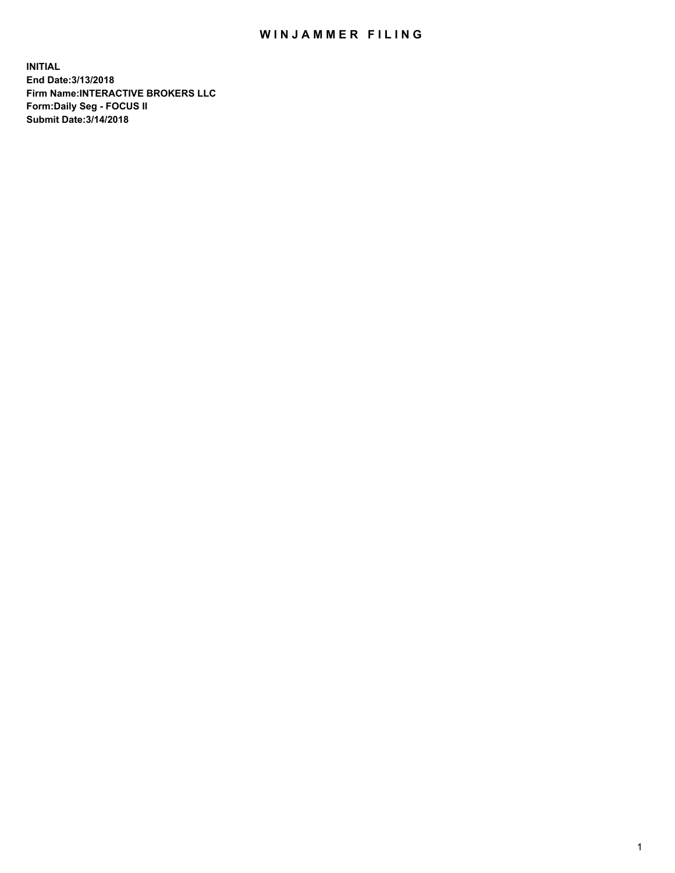## WIN JAMMER FILING

**INITIAL End Date:3/13/2018 Firm Name:INTERACTIVE BROKERS LLC Form:Daily Seg - FOCUS II Submit Date:3/14/2018**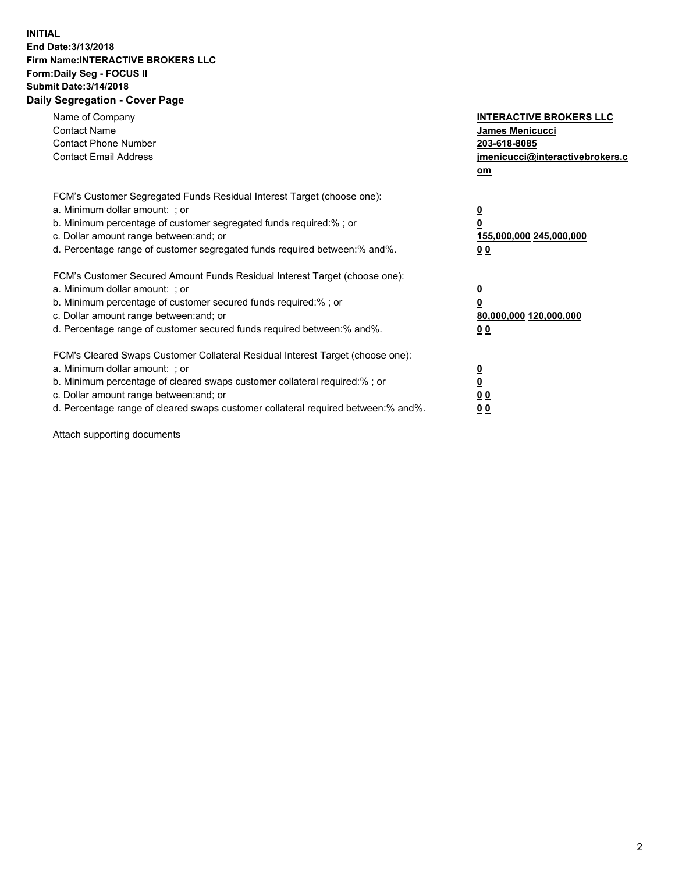## **INITIAL End Date:3/13/2018 Firm Name:INTERACTIVE BROKERS LLC Form:Daily Seg - FOCUS II Submit Date:3/14/2018 Daily Segregation - Cover Page**

| Name of Company<br><b>Contact Name</b><br><b>Contact Phone Number</b>                                                                                                                                                                                                                                                          | <b>INTERACTIVE BROKERS LLC</b><br><b>James Menicucci</b><br>203-618-8085                        |  |
|--------------------------------------------------------------------------------------------------------------------------------------------------------------------------------------------------------------------------------------------------------------------------------------------------------------------------------|-------------------------------------------------------------------------------------------------|--|
| <b>Contact Email Address</b>                                                                                                                                                                                                                                                                                                   | jmenicucci@interactivebrokers.c<br>om                                                           |  |
| FCM's Customer Segregated Funds Residual Interest Target (choose one):<br>a. Minimum dollar amount: ; or<br>b. Minimum percentage of customer segregated funds required:% ; or<br>c. Dollar amount range between: and; or<br>d. Percentage range of customer segregated funds required between:% and%.                         | $\overline{\mathbf{0}}$<br>$\overline{\mathbf{0}}$<br>155,000,000 245,000,000<br>0 <sub>0</sub> |  |
| FCM's Customer Secured Amount Funds Residual Interest Target (choose one):<br>a. Minimum dollar amount: ; or<br>b. Minimum percentage of customer secured funds required:%; or<br>c. Dollar amount range between: and; or<br>d. Percentage range of customer secured funds required between: % and %.                          | $\overline{\mathbf{0}}$<br>$\overline{\mathbf{0}}$<br>80,000,000 120,000,000<br>0 <sub>0</sub>  |  |
| FCM's Cleared Swaps Customer Collateral Residual Interest Target (choose one):<br>a. Minimum dollar amount: ; or<br>b. Minimum percentage of cleared swaps customer collateral required:% ; or<br>c. Dollar amount range between: and; or<br>d. Percentage range of cleared swaps customer collateral required between:% and%. | $\overline{\mathbf{0}}$<br>$\underline{\mathbf{0}}$<br>0 <sub>0</sub><br>0 <sup>0</sup>         |  |

Attach supporting documents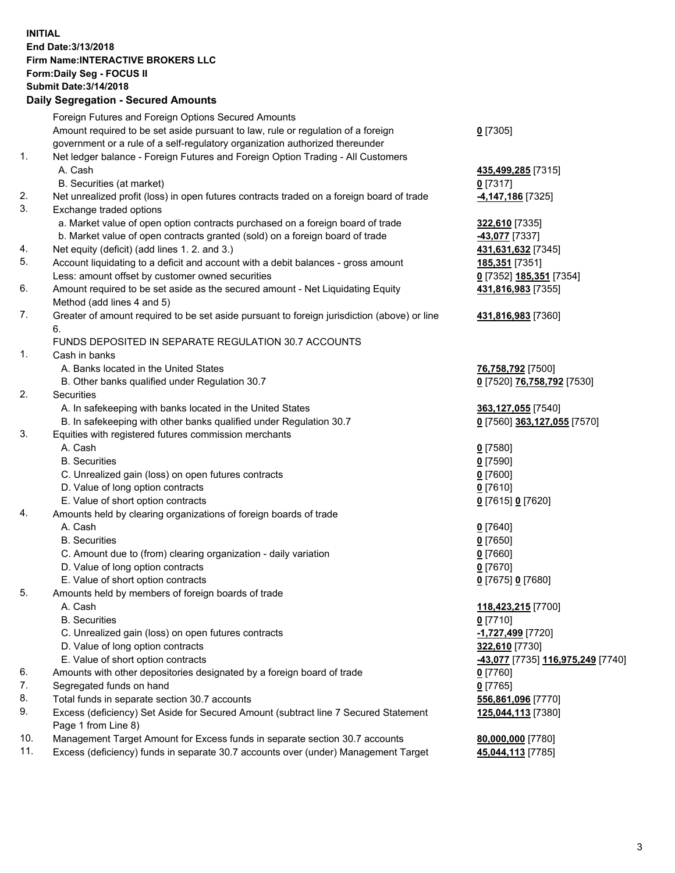## **INITIAL End Date:3/13/2018 Firm Name:INTERACTIVE BROKERS LLC Form:Daily Seg - FOCUS II Submit Date:3/14/2018 Daily Segregation - Secured Amounts**

|                | Daily Segregation - Secured Amounts                                                         |                                   |
|----------------|---------------------------------------------------------------------------------------------|-----------------------------------|
|                | Foreign Futures and Foreign Options Secured Amounts                                         |                                   |
|                | Amount required to be set aside pursuant to law, rule or regulation of a foreign            | $0$ [7305]                        |
|                | government or a rule of a self-regulatory organization authorized thereunder                |                                   |
| $\mathbf{1}$ . | Net ledger balance - Foreign Futures and Foreign Option Trading - All Customers             |                                   |
|                | A. Cash                                                                                     | 435,499,285 [7315]                |
|                | B. Securities (at market)                                                                   | $0$ [7317]                        |
| 2.             | Net unrealized profit (loss) in open futures contracts traded on a foreign board of trade   | 4,147,186 [7325]                  |
| 3.             | Exchange traded options                                                                     |                                   |
|                | a. Market value of open option contracts purchased on a foreign board of trade              | 322,610 [7335]                    |
|                | b. Market value of open contracts granted (sold) on a foreign board of trade                | 43,077 [7337]                     |
| 4.             | Net equity (deficit) (add lines 1.2. and 3.)                                                | 431,631,632 [7345]                |
| 5.             | Account liquidating to a deficit and account with a debit balances - gross amount           | 185,351 [7351]                    |
|                | Less: amount offset by customer owned securities                                            | 0 [7352] 185,351 [7354]           |
| 6.             | Amount required to be set aside as the secured amount - Net Liquidating Equity              | 431,816,983 [7355]                |
|                | Method (add lines 4 and 5)                                                                  |                                   |
| 7.             | Greater of amount required to be set aside pursuant to foreign jurisdiction (above) or line | 431,816,983 [7360]                |
|                | 6.                                                                                          |                                   |
|                | FUNDS DEPOSITED IN SEPARATE REGULATION 30.7 ACCOUNTS                                        |                                   |
| 1.             | Cash in banks                                                                               |                                   |
|                | A. Banks located in the United States                                                       | 76,758,792 [7500]                 |
|                | B. Other banks qualified under Regulation 30.7                                              | 0 [7520] 76,758,792 [7530]        |
| 2.             | Securities                                                                                  |                                   |
|                | A. In safekeeping with banks located in the United States                                   | 363,127,055 [7540]                |
|                | B. In safekeeping with other banks qualified under Regulation 30.7                          | 0 [7560] 363,127,055 [7570]       |
| 3.             | Equities with registered futures commission merchants                                       |                                   |
|                | A. Cash                                                                                     | $0$ [7580]                        |
|                | <b>B.</b> Securities                                                                        | $0$ [7590]                        |
|                | C. Unrealized gain (loss) on open futures contracts                                         | $0$ [7600]                        |
|                | D. Value of long option contracts                                                           | $0$ [7610]                        |
|                | E. Value of short option contracts                                                          | 0 [7615] 0 [7620]                 |
| 4.             | Amounts held by clearing organizations of foreign boards of trade                           |                                   |
|                | A. Cash                                                                                     | $0$ [7640]                        |
|                | <b>B.</b> Securities                                                                        | $0$ [7650]                        |
|                | C. Amount due to (from) clearing organization - daily variation                             | $0$ [7660]                        |
|                | D. Value of long option contracts                                                           | $0$ [7670]                        |
|                | E. Value of short option contracts                                                          | 0 [7675] 0 [7680]                 |
| 5.             | Amounts held by members of foreign boards of trade                                          |                                   |
|                | A. Cash                                                                                     | 118,423,215 [7700]                |
|                | <b>B.</b> Securities                                                                        | $0$ [7710]                        |
|                | C. Unrealized gain (loss) on open futures contracts                                         | -1,727,499 [7720]                 |
|                | D. Value of long option contracts                                                           | 322,610 [7730]                    |
|                | E. Value of short option contracts                                                          | -43,077 [7735] 116,975,249 [7740] |
| 6.             | Amounts with other depositories designated by a foreign board of trade                      | $0$ [7760]                        |
| 7.             | Segregated funds on hand                                                                    | $0$ [7765]                        |
| 8.             | Total funds in separate section 30.7 accounts                                               | 556,861,096 [7770]                |
| 9.             | Excess (deficiency) Set Aside for Secured Amount (subtract line 7 Secured Statement         | 125,044,113 [7380]                |
|                | Page 1 from Line 8)                                                                         |                                   |
| 10.            | Management Target Amount for Excess funds in separate section 30.7 accounts                 | 80,000,000 [7780]                 |
| 11.            | Excess (deficiency) funds in separate 30.7 accounts over (under) Management Target          | 45,044,113 [7785]                 |
|                |                                                                                             |                                   |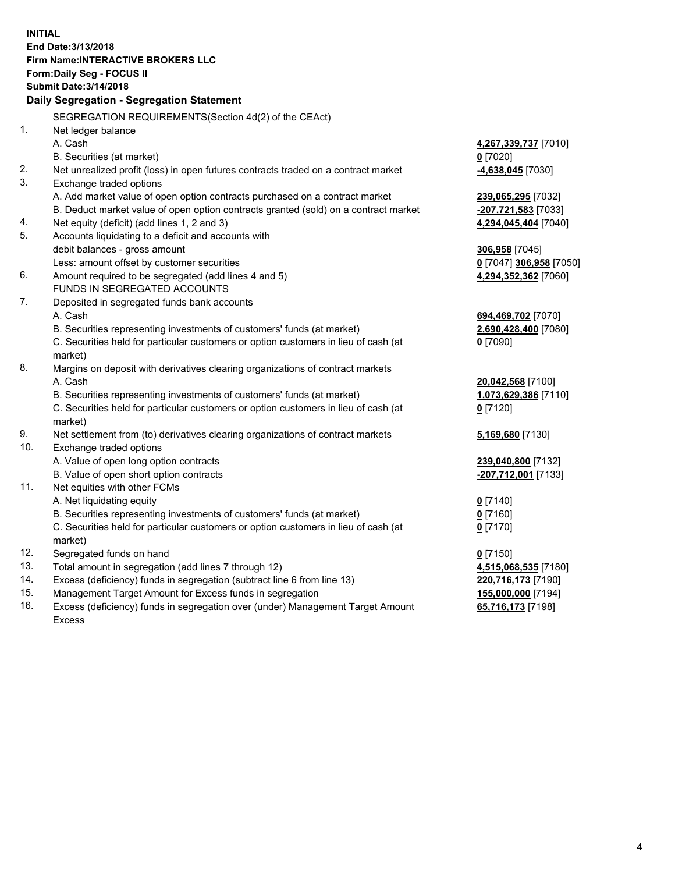**INITIAL End Date:3/13/2018 Firm Name:INTERACTIVE BROKERS LLC Form:Daily Seg - FOCUS II Submit Date:3/14/2018 Daily Segregation - Segregation Statement** SEGREGATION REQUIREMENTS(Section 4d(2) of the CEAct) 1. Net ledger balance A. Cash **4,267,339,737** [7010] B. Securities (at market) **0** [7020] 2. Net unrealized profit (loss) in open futures contracts traded on a contract market **-4,638,045** [7030] 3. Exchange traded options A. Add market value of open option contracts purchased on a contract market **239,065,295** [7032] B. Deduct market value of open option contracts granted (sold) on a contract market **-207,721,583** [7033] 4. Net equity (deficit) (add lines 1, 2 and 3) **4,294,045,404** [7040] 5. Accounts liquidating to a deficit and accounts with debit balances - gross amount **306,958** [7045] Less: amount offset by customer securities **0** [7047] **306,958** [7050] 6. Amount required to be segregated (add lines 4 and 5) **4,294,352,362** [7060] FUNDS IN SEGREGATED ACCOUNTS 7. Deposited in segregated funds bank accounts A. Cash **694,469,702** [7070] B. Securities representing investments of customers' funds (at market) **2,690,428,400** [7080] C. Securities held for particular customers or option customers in lieu of cash (at market) **0** [7090] 8. Margins on deposit with derivatives clearing organizations of contract markets A. Cash **20,042,568** [7100] B. Securities representing investments of customers' funds (at market) **1,073,629,386** [7110] C. Securities held for particular customers or option customers in lieu of cash (at market) **0** [7120] 9. Net settlement from (to) derivatives clearing organizations of contract markets **5,169,680** [7130] 10. Exchange traded options A. Value of open long option contracts **239,040,800** [7132] B. Value of open short option contracts **-207,712,001** [7133] 11. Net equities with other FCMs A. Net liquidating equity **0** [7140] B. Securities representing investments of customers' funds (at market) **0** [7160] C. Securities held for particular customers or option customers in lieu of cash (at market) **0** [7170] 12. Segregated funds on hand **0** [7150] 13. Total amount in segregation (add lines 7 through 12) **4,515,068,535** [7180] 14. Excess (deficiency) funds in segregation (subtract line 6 from line 13) **220,716,173** [7190] 15. Management Target Amount for Excess funds in segregation **155,000,000** [7194]

16. Excess (deficiency) funds in segregation over (under) Management Target Amount Excess

**65,716,173** [7198]